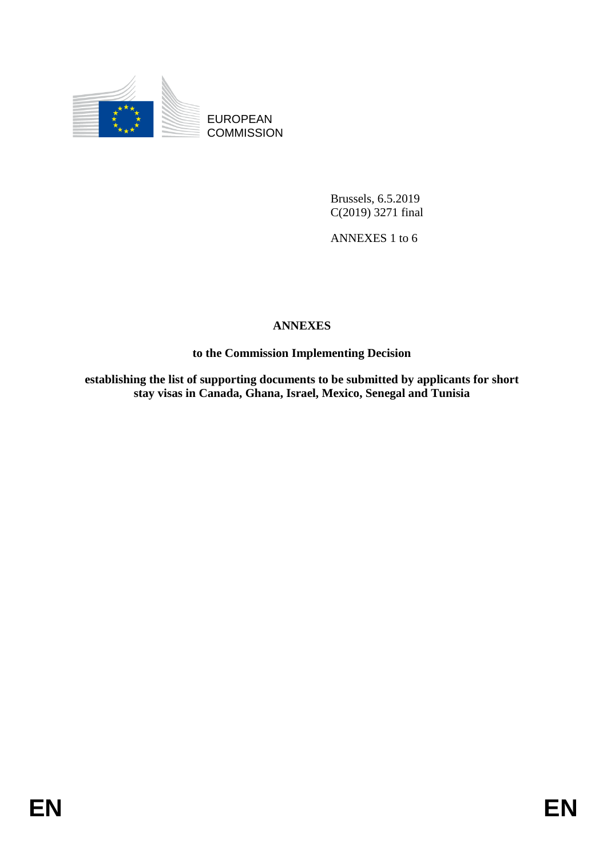

EUROPEAN **COMMISSION** 

> Brussels, 6.5.2019 C(2019) 3271 final

ANNEXES 1 to 6

# **ANNEXES**

**to the Commission Implementing Decision**

**establishing the list of supporting documents to be submitted by applicants for short stay visas in Canada, Ghana, Israel, Mexico, Senegal and Tunisia**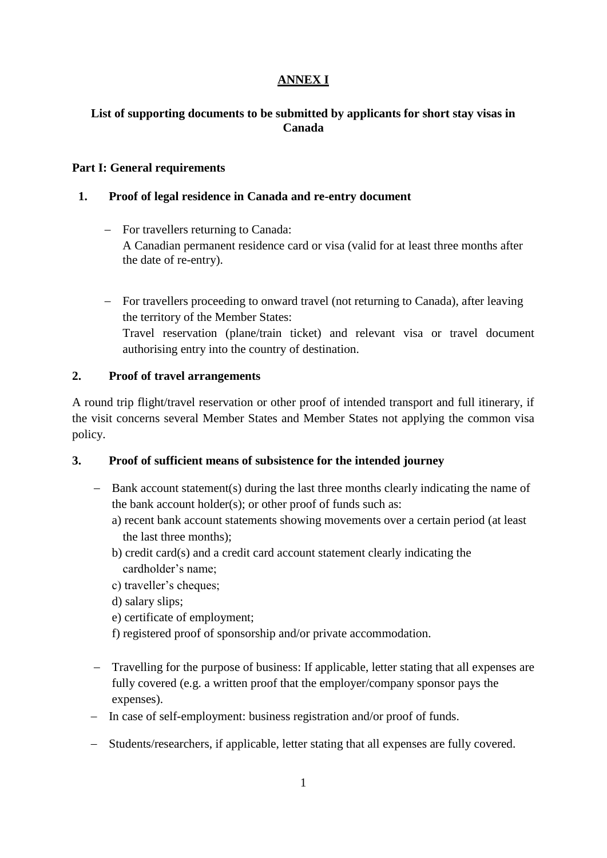## **ANNEX I**

## **List of supporting documents to be submitted by applicants for short stay visas in Canada**

#### **Part I: General requirements**

### **1. Proof of legal residence in Canada and re-entry document**

- For travellers returning to Canada: A Canadian permanent residence card or visa (valid for at least three months after the date of re-entry).
- For travellers proceeding to onward travel (not returning to Canada), after leaving the territory of the Member States: Travel reservation (plane/train ticket) and relevant visa or travel document authorising entry into the country of destination.

### **2. Proof of travel arrangements**

A round trip flight/travel reservation or other proof of intended transport and full itinerary, if the visit concerns several Member States and Member States not applying the common visa policy.

## **3. Proof of sufficient means of subsistence for the intended journey**

- Bank account statement(s) during the last three months clearly indicating the name of the bank account holder(s); or other proof of funds such as:
	- a) recent bank account statements showing movements over a certain period (at least the last three months);
	- b) credit card(s) and a credit card account statement clearly indicating the cardholder's name;
	- c) traveller's cheques;
	- d) salary slips;
	- e) certificate of employment;
	- f) registered proof of sponsorship and/or private accommodation.
- Travelling for the purpose of business: If applicable, letter stating that all expenses are fully covered (e.g. a written proof that the employer/company sponsor pays the expenses).
- In case of self-employment: business registration and/or proof of funds.
- Students/researchers, if applicable, letter stating that all expenses are fully covered.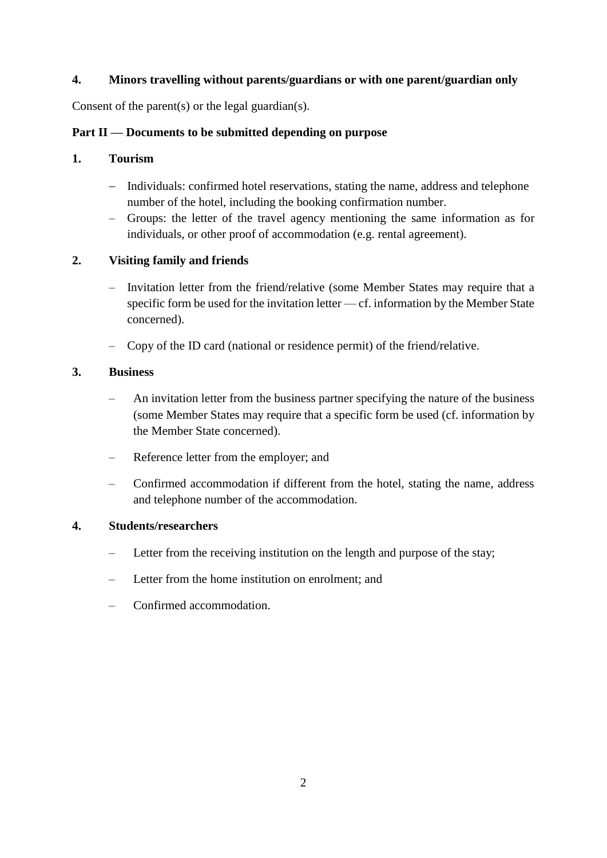## **4. Minors travelling without parents/guardians or with one parent/guardian only**

Consent of the parent(s) or the legal guardian(s).

## **Part II — Documents to be submitted depending on purpose**

### **1. Tourism**

- Individuals: confirmed hotel reservations, stating the name, address and telephone number of the hotel, including the booking confirmation number.
- Groups: the letter of the travel agency mentioning the same information as for individuals, or other proof of accommodation (e.g. rental agreement).

## **2. Visiting family and friends**

- Invitation letter from the friend/relative (some Member States may require that a specific form be used for the invitation letter — cf. information by the Member State concerned).
- Copy of the ID card (national or residence permit) of the friend/relative.

### **3. Business**

- An invitation letter from the business partner specifying the nature of the business (some Member States may require that a specific form be used (cf. information by the Member State concerned).
- Reference letter from the employer; and
- Confirmed accommodation if different from the hotel, stating the name, address and telephone number of the accommodation.

#### **4. Students/researchers**

- Letter from the receiving institution on the length and purpose of the stay;
- Letter from the home institution on enrolment; and
- Confirmed accommodation.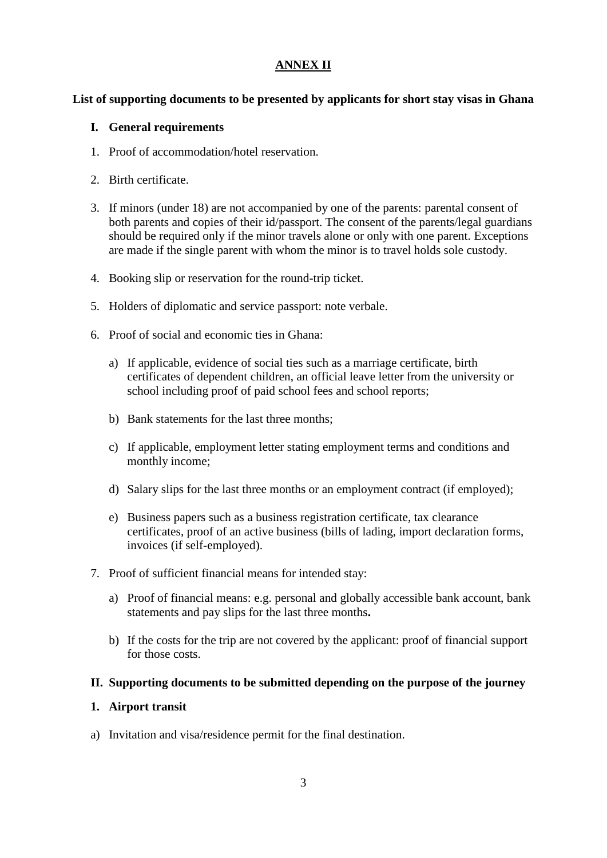### **ANNEX II**

### **List of supporting documents to be presented by applicants for short stay visas in Ghana**

### **I. General requirements**

- 1. Proof of accommodation/hotel reservation.
- 2. Birth certificate.
- 3. If minors (under 18) are not accompanied by one of the parents: parental consent of both parents and copies of their id/passport. The consent of the parents/legal guardians should be required only if the minor travels alone or only with one parent. Exceptions are made if the single parent with whom the minor is to travel holds sole custody.
- 4. Booking slip or reservation for the round-trip ticket.
- 5. Holders of diplomatic and service passport: note verbale.
- 6. Proof of social and economic ties in Ghana:
	- a) If applicable, evidence of social ties such as a marriage certificate, birth certificates of dependent children, an official leave letter from the university or school including proof of paid school fees and school reports;
	- b) Bank statements for the last three months;
	- c) If applicable, employment letter stating employment terms and conditions and monthly income;
	- d) Salary slips for the last three months or an employment contract (if employed);
	- e) Business papers such as a business registration certificate, tax clearance certificates, proof of an active business (bills of lading, import declaration forms, invoices (if self-employed).
- 7. Proof of sufficient financial means for intended stay:
	- a) Proof of financial means: e.g. personal and globally accessible bank account, bank statements and pay slips for the last three months**.**
	- b) If the costs for the trip are not covered by the applicant: proof of financial support for those costs.

#### **II. Supporting documents to be submitted depending on the purpose of the journey**

#### **1. Airport transit**

a) Invitation and visa/residence permit for the final destination.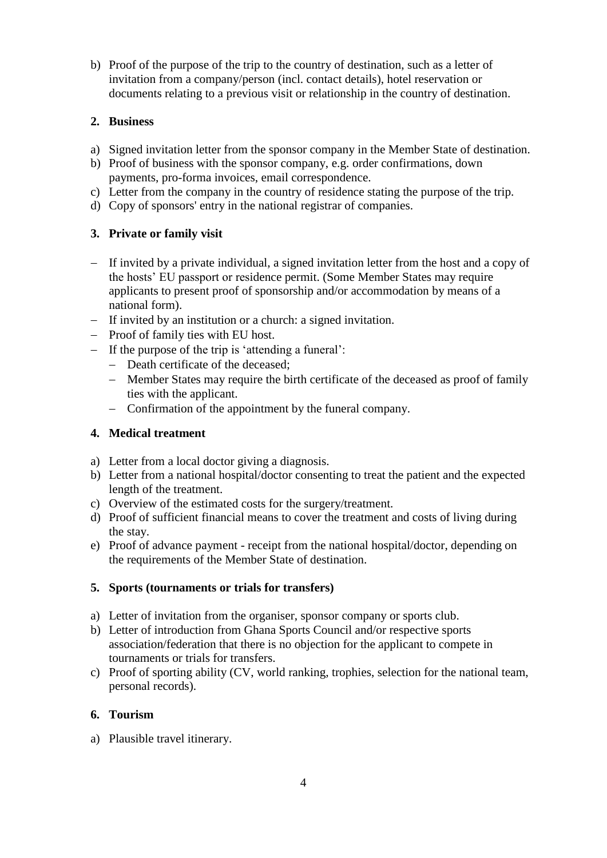b) Proof of the purpose of the trip to the country of destination, such as a letter of invitation from a company/person (incl. contact details), hotel reservation or documents relating to a previous visit or relationship in the country of destination.

## **2. Business**

- a) Signed invitation letter from the sponsor company in the Member State of destination.
- b) Proof of business with the sponsor company, e.g. order confirmations, down payments, pro-forma invoices, email correspondence.
- c) Letter from the company in the country of residence stating the purpose of the trip.
- d) Copy of sponsors' entry in the national registrar of companies.

## **3. Private or family visit**

- If invited by a private individual, a signed invitation letter from the host and a copy of the hosts' EU passport or residence permit. (Some Member States may require applicants to present proof of sponsorship and/or accommodation by means of a national form).
- If invited by an institution or a church: a signed invitation.
- $-$  Proof of family ties with EU host.
- $-I$  If the purpose of the trip is 'attending a funeral':
	- Death certificate of the deceased;
	- Member States may require the birth certificate of the deceased as proof of family ties with the applicant.
	- Confirmation of the appointment by the funeral company.

## **4. Medical treatment**

- a) Letter from a local doctor giving a diagnosis.
- b) Letter from a national hospital/doctor consenting to treat the patient and the expected length of the treatment.
- c) Overview of the estimated costs for the surgery/treatment.
- d) Proof of sufficient financial means to cover the treatment and costs of living during the stay.
- e) Proof of advance payment receipt from the national hospital/doctor, depending on the requirements of the Member State of destination.

## **5. Sports (tournaments or trials for transfers)**

- a) Letter of invitation from the organiser, sponsor company or sports club.
- b) Letter of introduction from Ghana Sports Council and/or respective sports association/federation that there is no objection for the applicant to compete in tournaments or trials for transfers.
- c) Proof of sporting ability (CV, world ranking, trophies, selection for the national team, personal records).

## **6. Tourism**

a) Plausible travel itinerary.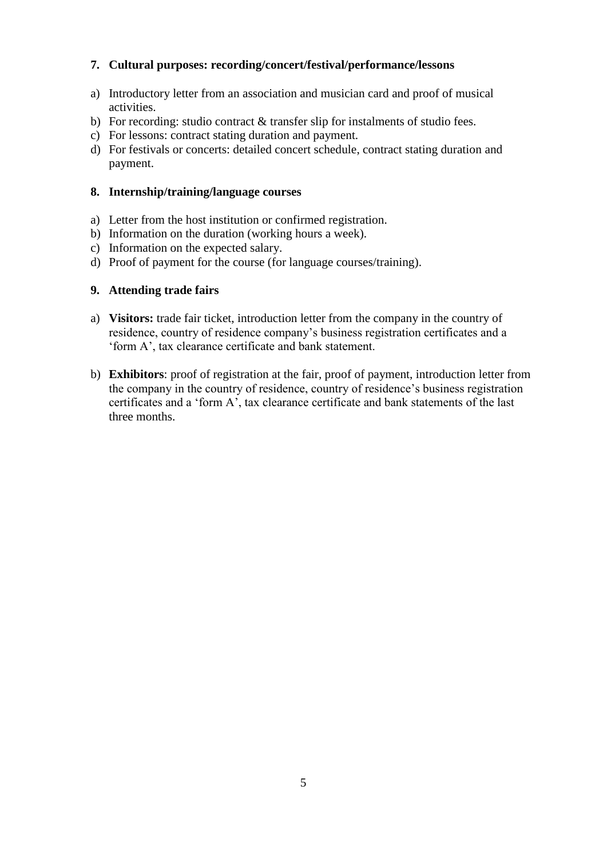## **7. Cultural purposes: recording/concert/festival/performance/lessons**

- a) Introductory letter from an association and musician card and proof of musical activities.
- b) For recording: studio contract & transfer slip for instalments of studio fees.
- c) For lessons: contract stating duration and payment.
- d) For festivals or concerts: detailed concert schedule, contract stating duration and payment.

#### **8. Internship/training/language courses**

- a) Letter from the host institution or confirmed registration.
- b) Information on the duration (working hours a week).
- c) Information on the expected salary.
- d) Proof of payment for the course (for language courses/training).

### **9. Attending trade fairs**

- a) **Visitors:** trade fair ticket, introduction letter from the company in the country of residence, country of residence company's business registration certificates and a 'form A', tax clearance certificate and bank statement.
- b) **Exhibitors**: proof of registration at the fair, proof of payment, introduction letter from the company in the country of residence, country of residence's business registration certificates and a 'form A', tax clearance certificate and bank statements of the last three months.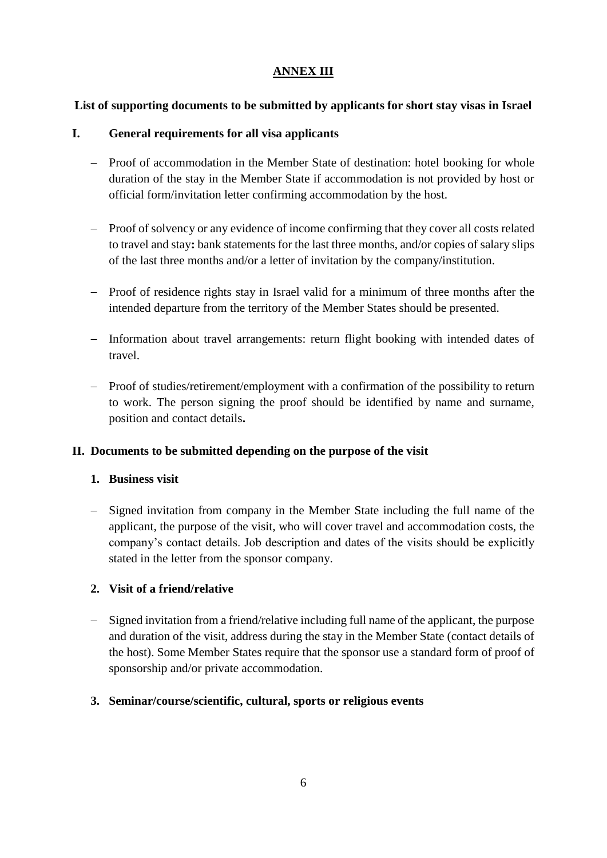## **ANNEX III**

## **List of supporting documents to be submitted by applicants for short stay visas in Israel**

## **I. General requirements for all visa applicants**

- Proof of accommodation in the Member State of destination: hotel booking for whole duration of the stay in the Member State if accommodation is not provided by host or official form/invitation letter confirming accommodation by the host.
- Proof of solvency or any evidence of income confirming that they cover all costs related to travel and stay**:** bank statements for the last three months, and/or copies of salary slips of the last three months and/or a letter of invitation by the company/institution.
- Proof of residence rights stay in Israel valid for a minimum of three months after the intended departure from the territory of the Member States should be presented.
- Information about travel arrangements: return flight booking with intended dates of travel.
- Proof of studies/retirement/employment with a confirmation of the possibility to return to work. The person signing the proof should be identified by name and surname, position and contact details**.**

## **II. Documents to be submitted depending on the purpose of the visit**

## **1. Business visit**

- Signed invitation from company in the Member State including the full name of the applicant, the purpose of the visit, who will cover travel and accommodation costs, the company's contact details. Job description and dates of the visits should be explicitly stated in the letter from the sponsor company.

## **2. Visit of a friend/relative**

 Signed invitation from a friend/relative including full name of the applicant, the purpose and duration of the visit, address during the stay in the Member State (contact details of the host). Some Member States require that the sponsor use a standard form of proof of sponsorship and/or private accommodation.

## **3. Seminar/course/scientific, cultural, sports or religious events**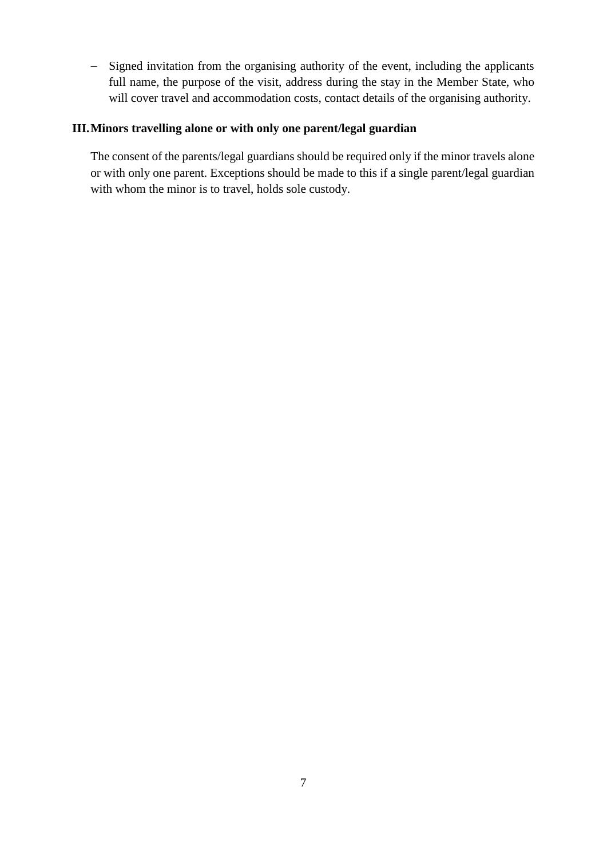- Signed invitation from the organising authority of the event, including the applicants full name, the purpose of the visit, address during the stay in the Member State, who will cover travel and accommodation costs, contact details of the organising authority.

#### **III.Minors travelling alone or with only one parent/legal guardian**

The consent of the parents/legal guardians should be required only if the minor travels alone or with only one parent. Exceptions should be made to this if a single parent/legal guardian with whom the minor is to travel, holds sole custody.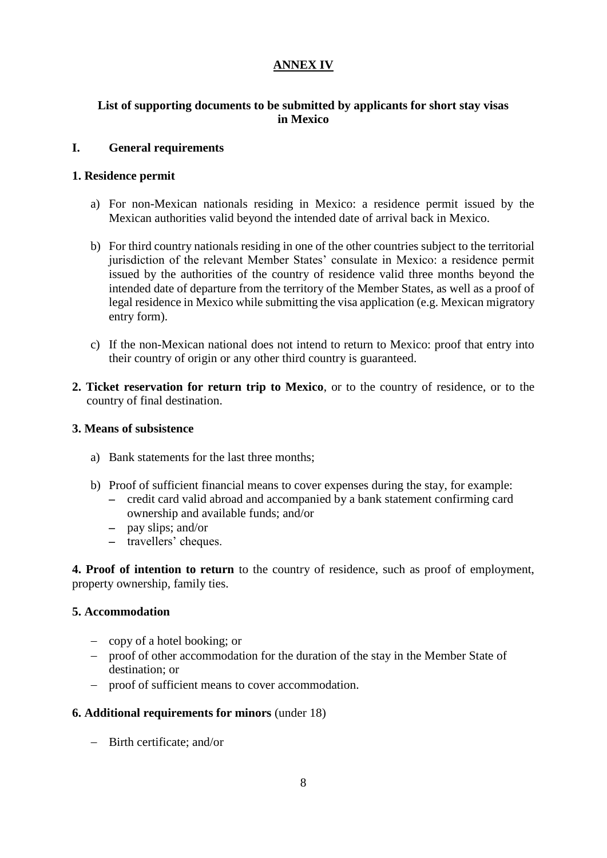## **ANNEX IV**

## **List of supporting documents to be submitted by applicants for short stay visas in Mexico**

### **I. General requirements**

### **1. Residence permit**

- a) For non-Mexican nationals residing in Mexico: a residence permit issued by the Mexican authorities valid beyond the intended date of arrival back in Mexico.
- b) For third country nationals residing in one of the other countries subject to the territorial jurisdiction of the relevant Member States' consulate in Mexico: a residence permit issued by the authorities of the country of residence valid three months beyond the intended date of departure from the territory of the Member States, as well as a proof of legal residence in Mexico while submitting the visa application (e.g. Mexican migratory entry form).
- c) If the non-Mexican national does not intend to return to Mexico: proof that entry into their country of origin or any other third country is guaranteed.
- **2. Ticket reservation for return trip to Mexico**, or to the country of residence, or to the country of final destination.

#### **3. Means of subsistence**

- a) Bank statements for the last three months;
- b) Proof of sufficient financial means to cover expenses during the stay, for example:
	- credit card valid abroad and accompanied by a bank statement confirming card ownership and available funds; and/or
	- pay slips; and/or
	- travellers' cheques.

**4. Proof of intention to return** to the country of residence, such as proof of employment, property ownership, family ties.

#### **5. Accommodation**

- copy of a hotel booking; or
- proof of other accommodation for the duration of the stay in the Member State of destination; or
- proof of sufficient means to cover accommodation.

#### **6. Additional requirements for minors** (under 18)

Birth certificate; and/or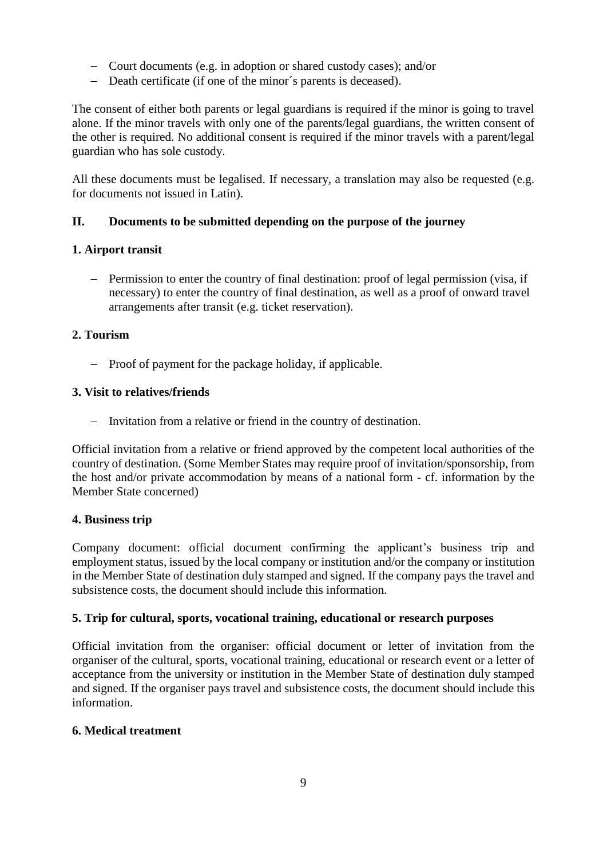- Court documents (e.g. in adoption or shared custody cases); and/or
- Death certificate (if one of the minor's parents is deceased).

The consent of either both parents or legal guardians is required if the minor is going to travel alone. If the minor travels with only one of the parents/legal guardians, the written consent of the other is required. No additional consent is required if the minor travels with a parent/legal guardian who has sole custody.

All these documents must be legalised. If necessary, a translation may also be requested (e.g. for documents not issued in Latin).

## **II. Documents to be submitted depending on the purpose of the journey**

## **1. Airport transit**

- Permission to enter the country of final destination: proof of legal permission (visa, if necessary) to enter the country of final destination, as well as a proof of onward travel arrangements after transit (e.g. ticket reservation).

## **2. Tourism**

- Proof of payment for the package holiday, if applicable.

## **3. Visit to relatives/friends**

- Invitation from a relative or friend in the country of destination.

Official invitation from a relative or friend approved by the competent local authorities of the country of destination. (Some Member States may require proof of invitation/sponsorship, from the host and/or private accommodation by means of a national form - cf. information by the Member State concerned)

#### **4. Business trip**

Company document: official document confirming the applicant's business trip and employment status, issued by the local company or institution and/or the company or institution in the Member State of destination duly stamped and signed. If the company pays the travel and subsistence costs, the document should include this information.

## **5. Trip for cultural, sports, vocational training, educational or research purposes**

Official invitation from the organiser: official document or letter of invitation from the organiser of the cultural, sports, vocational training, educational or research event or a letter of acceptance from the university or institution in the Member State of destination duly stamped and signed. If the organiser pays travel and subsistence costs, the document should include this information.

#### **6. Medical treatment**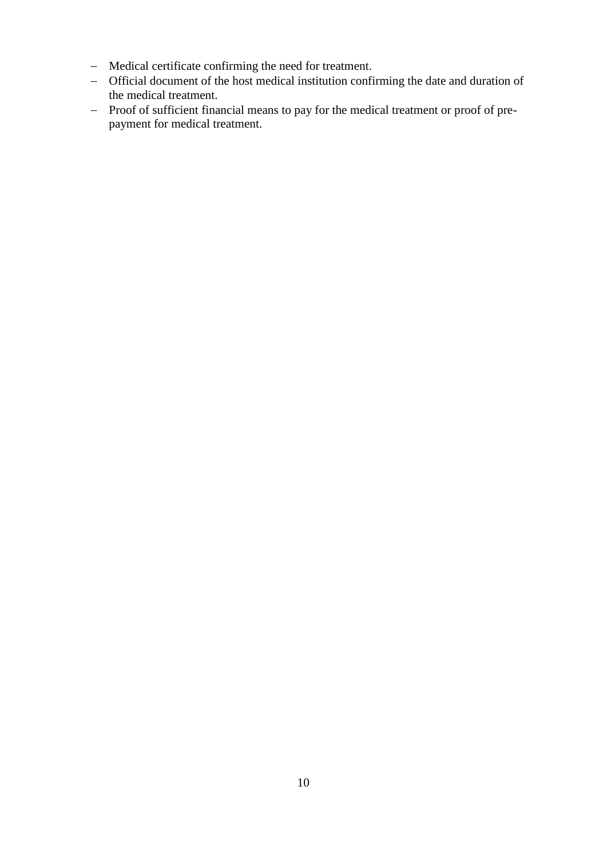- Medical certificate confirming the need for treatment.
- Official document of the host medical institution confirming the date and duration of the medical treatment.
- Proof of sufficient financial means to pay for the medical treatment or proof of prepayment for medical treatment.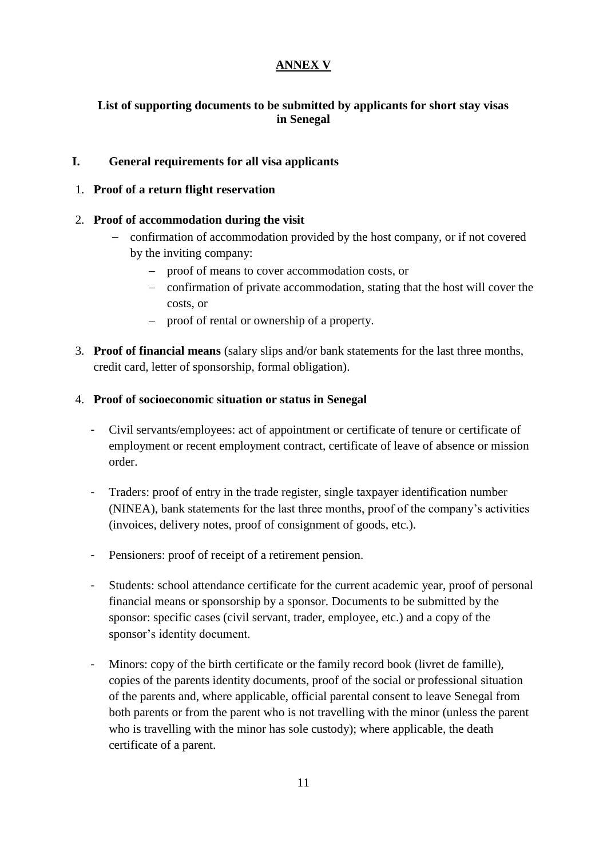## **ANNEX V**

## **List of supporting documents to be submitted by applicants for short stay visas in Senegal**

## **I. General requirements for all visa applicants**

## 1. **Proof of a return flight reservation**

## 2. **Proof of accommodation during the visit**

- confirmation of accommodation provided by the host company, or if not covered by the inviting company:
	- proof of means to cover accommodation costs, or
	- confirmation of private accommodation, stating that the host will cover the costs, or
	- proof of rental or ownership of a property.
- 3. **Proof of financial means** (salary slips and/or bank statements for the last three months, credit card, letter of sponsorship, formal obligation).

## 4. **Proof of socioeconomic situation or status in Senegal**

- Civil servants/employees: act of appointment or certificate of tenure or certificate of employment or recent employment contract, certificate of leave of absence or mission order.
- Traders: proof of entry in the trade register, single taxpayer identification number (NINEA), bank statements for the last three months, proof of the company's activities (invoices, delivery notes, proof of consignment of goods, etc.).
- Pensioners: proof of receipt of a retirement pension.
- Students: school attendance certificate for the current academic year, proof of personal financial means or sponsorship by a sponsor. Documents to be submitted by the sponsor: specific cases (civil servant, trader, employee, etc.) and a copy of the sponsor's identity document.
- Minors: copy of the birth certificate or the family record book (livret de famille), copies of the parents identity documents, proof of the social or professional situation of the parents and, where applicable, official parental consent to leave Senegal from both parents or from the parent who is not travelling with the minor (unless the parent who is travelling with the minor has sole custody); where applicable, the death certificate of a parent.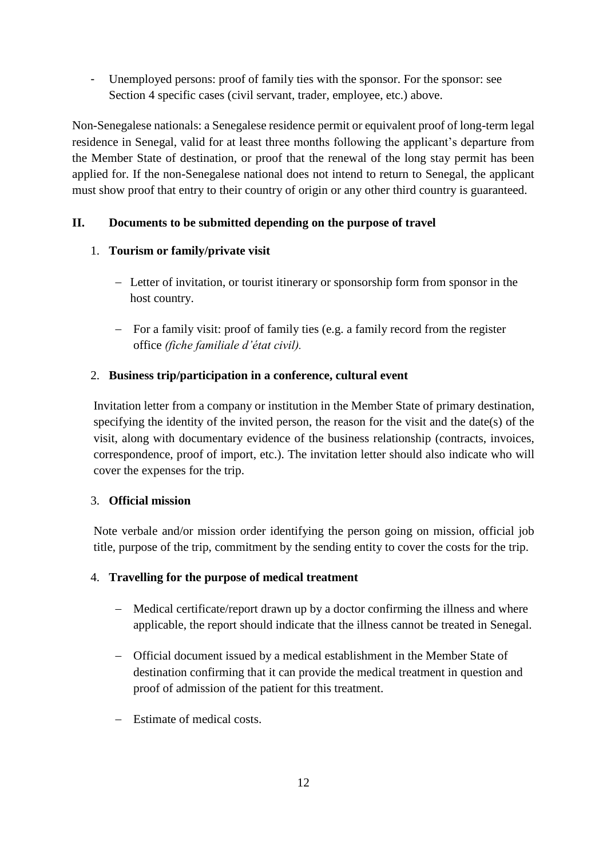- Unemployed persons: proof of family ties with the sponsor. For the sponsor: see Section 4 specific cases (civil servant, trader, employee, etc.) above.

Non-Senegalese nationals: a Senegalese residence permit or equivalent proof of long-term legal residence in Senegal, valid for at least three months following the applicant's departure from the Member State of destination, or proof that the renewal of the long stay permit has been applied for. If the non-Senegalese national does not intend to return to Senegal, the applicant must show proof that entry to their country of origin or any other third country is guaranteed.

## **II. Documents to be submitted depending on the purpose of travel**

## 1. **Tourism or family/private visit**

- Letter of invitation, or tourist itinerary or sponsorship form from sponsor in the host country.
- For a family visit: proof of family ties (e.g. a family record from the register office *(fiche familiale d'état civil).*

## 2. **Business trip/participation in a conference, cultural event**

Invitation letter from a company or institution in the Member State of primary destination, specifying the identity of the invited person, the reason for the visit and the date(s) of the visit, along with documentary evidence of the business relationship (contracts, invoices, correspondence, proof of import, etc.). The invitation letter should also indicate who will cover the expenses for the trip.

## 3. **Official mission**

Note verbale and/or mission order identifying the person going on mission, official job title, purpose of the trip, commitment by the sending entity to cover the costs for the trip.

## 4. **Travelling for the purpose of medical treatment**

- Medical certificate/report drawn up by a doctor confirming the illness and where applicable, the report should indicate that the illness cannot be treated in Senegal.
- Official document issued by a medical establishment in the Member State of destination confirming that it can provide the medical treatment in question and proof of admission of the patient for this treatment.
- Estimate of medical costs.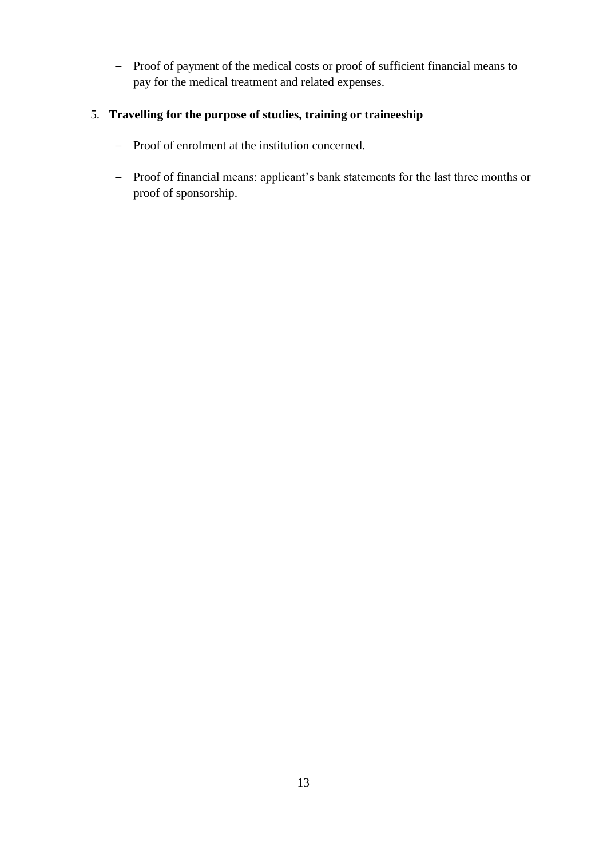- Proof of payment of the medical costs or proof of sufficient financial means to pay for the medical treatment and related expenses.

## 5. **Travelling for the purpose of studies, training or traineeship**

- Proof of enrolment at the institution concerned.
- Proof of financial means: applicant's bank statements for the last three months or proof of sponsorship.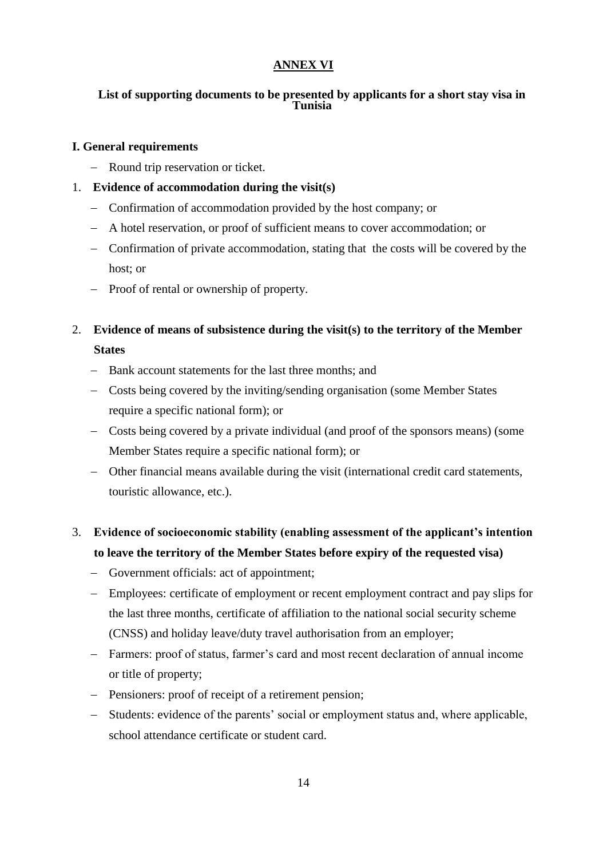## **ANNEX VI**

#### **List of supporting documents to be presented by applicants for a short stay visa in Tunisia**

### **I. General requirements**

- Round trip reservation or ticket.

## 1. **Evidence of accommodation during the visit(s)**

- Confirmation of accommodation provided by the host company; or
- A hotel reservation, or proof of sufficient means to cover accommodation; or
- Confirmation of private accommodation, stating that the costs will be covered by the host; or
- Proof of rental or ownership of property.
- 2. **Evidence of means of subsistence during the visit(s) to the territory of the Member States**
	- Bank account statements for the last three months; and
	- Costs being covered by the inviting/sending organisation (some Member States require a specific national form); or
	- Costs being covered by a private individual (and proof of the sponsors means) (some Member States require a specific national form); or
	- Other financial means available during the visit (international credit card statements, touristic allowance, etc.).

# 3. **Evidence of socioeconomic stability (enabling assessment of the applicant's intention to leave the territory of the Member States before expiry of the requested visa)**

- Government officials: act of appointment;
- Employees: certificate of employment or recent employment contract and pay slips for the last three months, certificate of affiliation to the national social security scheme (CNSS) and holiday leave/duty travel authorisation from an employer;
- Farmers: proof of status, farmer's card and most recent declaration of annual income or title of property;
- Pensioners: proof of receipt of a retirement pension;
- Students: evidence of the parents' social or employment status and, where applicable, school attendance certificate or student card.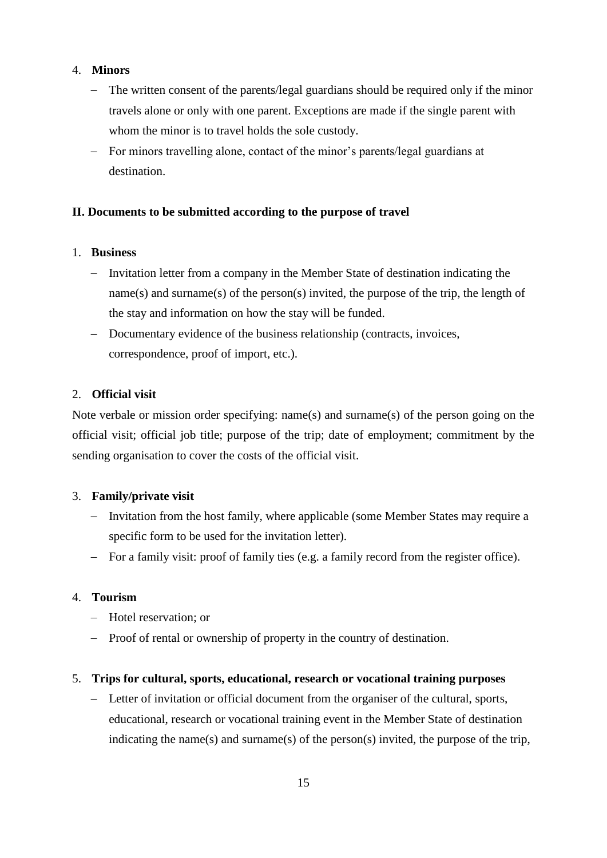### 4. **Minors**

- The written consent of the parents/legal guardians should be required only if the minor travels alone or only with one parent. Exceptions are made if the single parent with whom the minor is to travel holds the sole custody.
- For minors travelling alone, contact of the minor's parents/legal guardians at destination.

### **II. Documents to be submitted according to the purpose of travel**

#### 1. **Business**

- Invitation letter from a company in the Member State of destination indicating the name(s) and surname(s) of the person(s) invited, the purpose of the trip, the length of the stay and information on how the stay will be funded.
- Documentary evidence of the business relationship (contracts, invoices, correspondence, proof of import, etc.).

### 2. **Official visit**

Note verbale or mission order specifying: name(s) and surname(s) of the person going on the official visit; official job title; purpose of the trip; date of employment; commitment by the sending organisation to cover the costs of the official visit.

#### 3. **Family/private visit**

- Invitation from the host family, where applicable (some Member States may require a specific form to be used for the invitation letter).
- For a family visit: proof of family ties (e.g. a family record from the register office).

#### 4. **Tourism**

- Hotel reservation; or
- Proof of rental or ownership of property in the country of destination.

#### 5. **Trips for cultural, sports, educational, research or vocational training purposes**

 Letter of invitation or official document from the organiser of the cultural, sports, educational, research or vocational training event in the Member State of destination indicating the name(s) and surname(s) of the person(s) invited, the purpose of the trip,